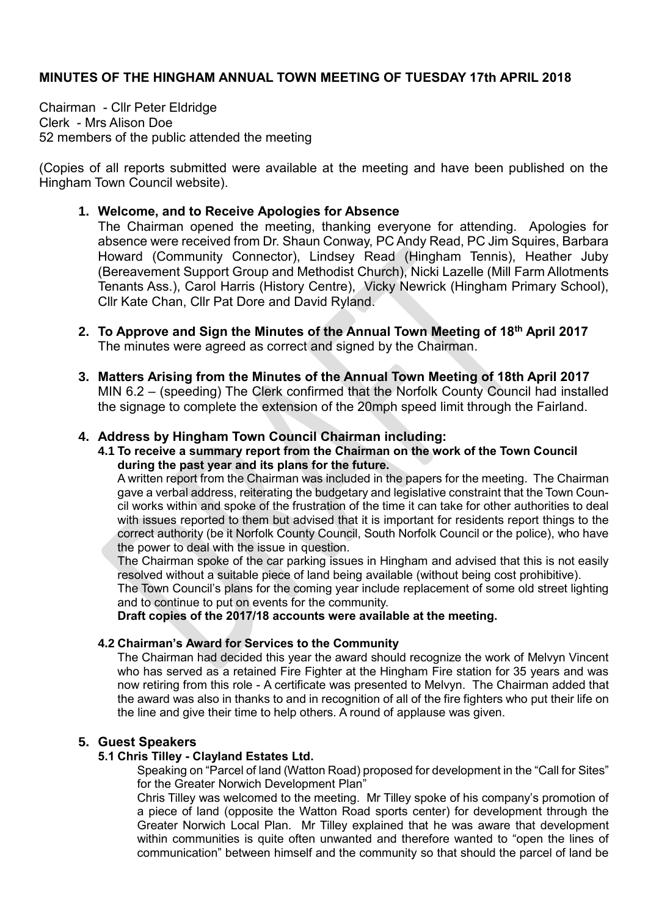### **MINUTES OF THE HINGHAM ANNUAL TOWN MEETING OF TUESDAY 17th APRIL 2018**

Chairman - Cllr Peter Eldridge Clerk - Mrs Alison Doe 52 members of the public attended the meeting

(Copies of all reports submitted were available at the meeting and have been published on the Hingham Town Council website).

#### **1. Welcome, and to Receive Apologies for Absence**

The Chairman opened the meeting, thanking everyone for attending. Apologies for absence were received from Dr. Shaun Conway, PC Andy Read, PC Jim Squires, Barbara Howard (Community Connector), Lindsey Read (Hingham Tennis), Heather Juby (Bereavement Support Group and Methodist Church), Nicki Lazelle (Mill Farm Allotments Tenants Ass.), Carol Harris (History Centre), Vicky Newrick (Hingham Primary School), Cllr Kate Chan, Cllr Pat Dore and David Ryland.

- **2. To Approve and Sign the Minutes of the Annual Town Meeting of 18th April 2017** The minutes were agreed as correct and signed by the Chairman.
- **3. Matters Arising from the Minutes of the Annual Town Meeting of 18th April 2017** MIN 6.2 – (speeding) The Clerk confirmed that the Norfolk County Council had installed the signage to complete the extension of the 20mph speed limit through the Fairland.

#### **4. Address by Hingham Town Council Chairman including:**

**4.1 To receive a summary report from the Chairman on the work of the Town Council during the past year and its plans for the future.** 

A written report from the Chairman was included in the papers for the meeting. The Chairman gave a verbal address, reiterating the budgetary and legislative constraint that the Town Council works within and spoke of the frustration of the time it can take for other authorities to deal with issues reported to them but advised that it is important for residents report things to the correct authority (be it Norfolk County Council, South Norfolk Council or the police), who have the power to deal with the issue in question.

The Chairman spoke of the car parking issues in Hingham and advised that this is not easily resolved without a suitable piece of land being available (without being cost prohibitive).

The Town Council's plans for the coming year include replacement of some old street lighting and to continue to put on events for the community.

**Draft copies of the 2017/18 accounts were available at the meeting.**

#### **4.2 Chairman's Award for Services to the Community**

The Chairman had decided this year the award should recognize the work of Melvyn Vincent who has served as a retained Fire Fighter at the Hingham Fire station for 35 years and was now retiring from this role - A certificate was presented to Melvyn. The Chairman added that the award was also in thanks to and in recognition of all of the fire fighters who put their life on the line and give their time to help others. A round of applause was given.

#### **5. Guest Speakers**

#### **5.1 Chris Tilley - Clayland Estates Ltd.**

Speaking on "Parcel of land (Watton Road) proposed for development in the "Call for Sites" for the Greater Norwich Development Plan"

Chris Tilley was welcomed to the meeting. Mr Tilley spoke of his company's promotion of a piece of land (opposite the Watton Road sports center) for development through the Greater Norwich Local Plan. Mr Tilley explained that he was aware that development within communities is quite often unwanted and therefore wanted to "open the lines of communication" between himself and the community so that should the parcel of land be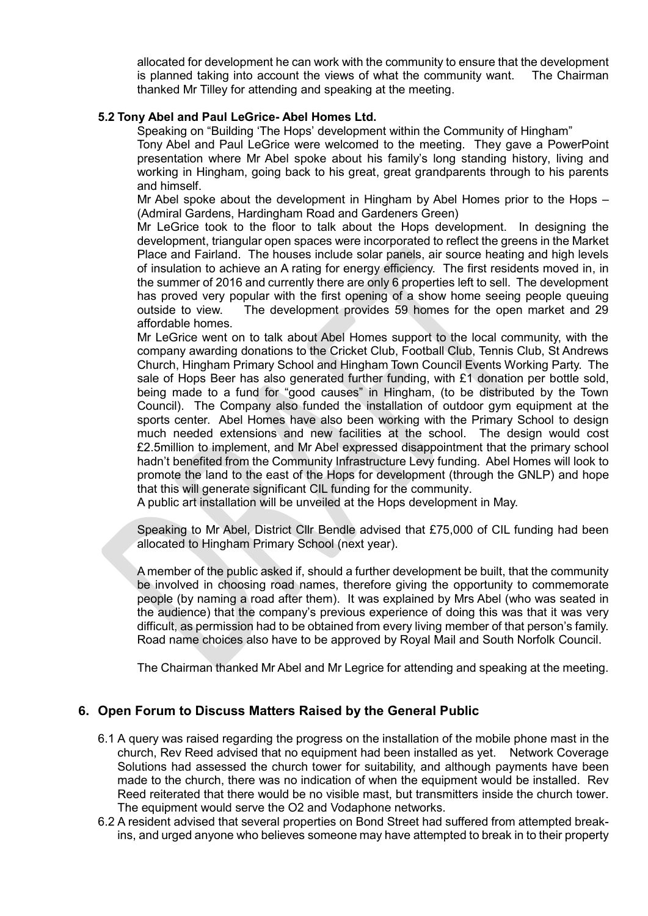allocated for development he can work with the community to ensure that the development is planned taking into account the views of what the community want. The Chairman thanked Mr Tilley for attending and speaking at the meeting.

#### **5.2 Tony Abel and Paul LeGrice- Abel Homes Ltd.**

Speaking on "Building 'The Hops' development within the Community of Hingham"

Tony Abel and Paul LeGrice were welcomed to the meeting. They gave a PowerPoint presentation where Mr Abel spoke about his family's long standing history, living and working in Hingham, going back to his great, great grandparents through to his parents and himself.

Mr Abel spoke about the development in Hingham by Abel Homes prior to the Hops – (Admiral Gardens, Hardingham Road and Gardeners Green)

Mr LeGrice took to the floor to talk about the Hops development. In designing the development, triangular open spaces were incorporated to reflect the greens in the Market Place and Fairland. The houses include solar panels, air source heating and high levels of insulation to achieve an A rating for energy efficiency. The first residents moved in, in the summer of 2016 and currently there are only 6 properties left to sell. The development has proved very popular with the first opening of a show home seeing people queuing outside to view. The development provides 59 homes for the open market and 29 affordable homes.

Mr LeGrice went on to talk about Abel Homes support to the local community, with the company awarding donations to the Cricket Club, Football Club, Tennis Club, St Andrews Church, Hingham Primary School and Hingham Town Council Events Working Party. The sale of Hops Beer has also generated further funding, with £1 donation per bottle sold, being made to a fund for "good causes" in Hingham, (to be distributed by the Town Council). The Company also funded the installation of outdoor gym equipment at the sports center. Abel Homes have also been working with the Primary School to design much needed extensions and new facilities at the school. The design would cost £2.5million to implement, and Mr Abel expressed disappointment that the primary school hadn't benefited from the Community Infrastructure Levy funding. Abel Homes will look to promote the land to the east of the Hops for development (through the GNLP) and hope that this will generate significant CIL funding for the community.

A public art installation will be unveiled at the Hops development in May.

Speaking to Mr Abel, District Cllr Bendle advised that £75,000 of CIL funding had been allocated to Hingham Primary School (next year).

A member of the public asked if, should a further development be built, that the community be involved in choosing road names, therefore giving the opportunity to commemorate people (by naming a road after them). It was explained by Mrs Abel (who was seated in the audience) that the company's previous experience of doing this was that it was very difficult, as permission had to be obtained from every living member of that person's family. Road name choices also have to be approved by Royal Mail and South Norfolk Council.

The Chairman thanked Mr Abel and Mr Legrice for attending and speaking at the meeting.

## **6. Open Forum to Discuss Matters Raised by the General Public**

- 6.1 A query was raised regarding the progress on the installation of the mobile phone mast in the church, Rev Reed advised that no equipment had been installed as yet. Network Coverage Solutions had assessed the church tower for suitability, and although payments have been made to the church, there was no indication of when the equipment would be installed. Rev Reed reiterated that there would be no visible mast, but transmitters inside the church tower. The equipment would serve the O2 and Vodaphone networks.
- 6.2 A resident advised that several properties on Bond Street had suffered from attempted breakins, and urged anyone who believes someone may have attempted to break in to their property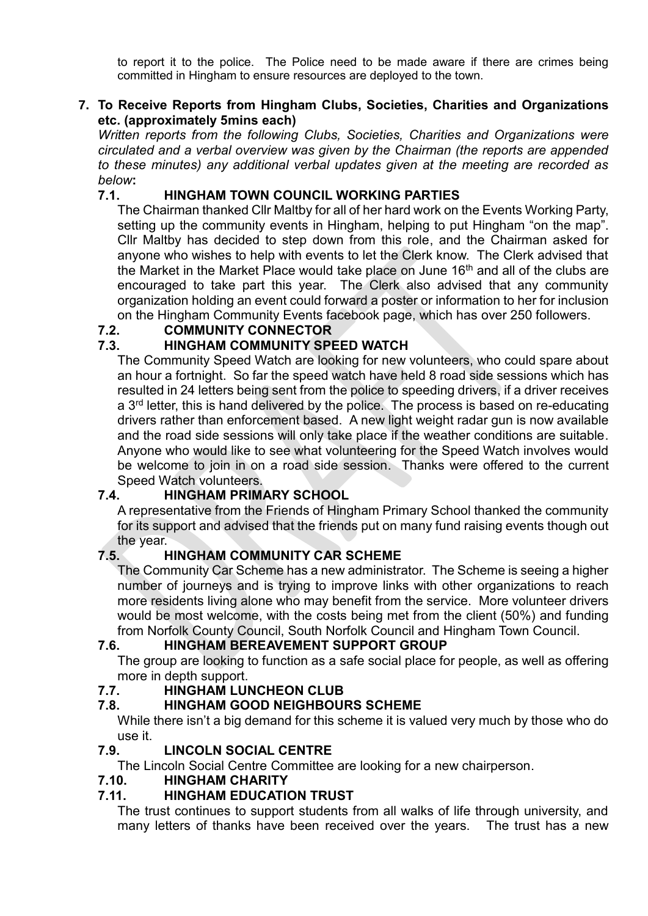to report it to the police. The Police need to be made aware if there are crimes being committed in Hingham to ensure resources are deployed to the town.

## **7. To Receive Reports from Hingham Clubs, Societies, Charities and Organizations etc. (approximately 5mins each)**

*Written reports from the following Clubs, Societies, Charities and Organizations were circulated and a verbal overview was given by the Chairman (the reports are appended to these minutes) any additional verbal updates given at the meeting are recorded as below***:**

## **7.1. HINGHAM TOWN COUNCIL WORKING PARTIES**

The Chairman thanked Cllr Maltby for all of her hard work on the Events Working Party, setting up the community events in Hingham, helping to put Hingham "on the map". Cllr Maltby has decided to step down from this role, and the Chairman asked for anyone who wishes to help with events to let the Clerk know. The Clerk advised that the Market in the Market Place would take place on June 16<sup>th</sup> and all of the clubs are encouraged to take part this year. The Clerk also advised that any community organization holding an event could forward a poster or information to her for inclusion on the Hingham Community Events facebook page, which has over 250 followers.

## **7.2. COMMUNITY CONNECTOR**

## **7.3. HINGHAM COMMUNITY SPEED WATCH**

The Community Speed Watch are looking for new volunteers, who could spare about an hour a fortnight. So far the speed watch have held 8 road side sessions which has resulted in 24 letters being sent from the police to speeding drivers, if a driver receives a 3rd letter, this is hand delivered by the police. The process is based on re-educating drivers rather than enforcement based. A new light weight radar gun is now available and the road side sessions will only take place if the weather conditions are suitable. Anyone who would like to see what volunteering for the Speed Watch involves would be welcome to join in on a road side session. Thanks were offered to the current Speed Watch volunteers.

## **7.4. HINGHAM PRIMARY SCHOOL**

A representative from the Friends of Hingham Primary School thanked the community for its support and advised that the friends put on many fund raising events though out the year.

## **7.5. HINGHAM COMMUNITY CAR SCHEME**

The Community Car Scheme has a new administrator. The Scheme is seeing a higher number of journeys and is trying to improve links with other organizations to reach more residents living alone who may benefit from the service. More volunteer drivers would be most welcome, with the costs being met from the client (50%) and funding from Norfolk County Council, South Norfolk Council and Hingham Town Council.

## **7.6. HINGHAM BEREAVEMENT SUPPORT GROUP**

The group are looking to function as a safe social place for people, as well as offering more in depth support.

## **7.7. HINGHAM LUNCHEON CLUB**

## **7.8. HINGHAM GOOD NEIGHBOURS SCHEME**

While there isn't a big demand for this scheme it is valued very much by those who do use it.

## **7.9. LINCOLN SOCIAL CENTRE**

The Lincoln Social Centre Committee are looking for a new chairperson.

## **7.10. HINGHAM CHARITY**

## **7.11. HINGHAM EDUCATION TRUST**

The trust continues to support students from all walks of life through university, and many letters of thanks have been received over the years. The trust has a new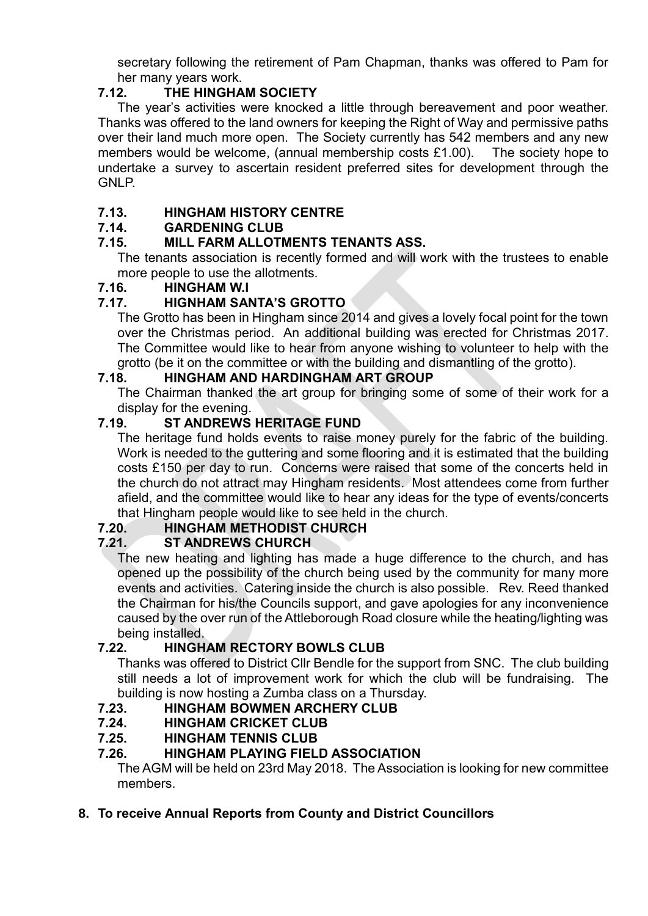secretary following the retirement of Pam Chapman, thanks was offered to Pam for her many years work.

# **7.12. THE HINGHAM SOCIETY**

The year's activities were knocked a little through bereavement and poor weather. Thanks was offered to the land owners for keeping the Right of Way and permissive paths over their land much more open. The Society currently has 542 members and any new members would be welcome, (annual membership costs £1.00). The society hope to undertake a survey to ascertain resident preferred sites for development through the GNLP.

# **7.13. HINGHAM HISTORY CENTRE**

# **7.14. GARDENING CLUB**

# **7.15. MILL FARM ALLOTMENTS TENANTS ASS.**

The tenants association is recently formed and will work with the trustees to enable more people to use the allotments.

## **7.16. HINGHAM W.I**

# **7.17. HIGNHAM SANTA'S GROTTO**

The Grotto has been in Hingham since 2014 and gives a lovely focal point for the town over the Christmas period. An additional building was erected for Christmas 2017. The Committee would like to hear from anyone wishing to volunteer to help with the grotto (be it on the committee or with the building and dismantling of the grotto).

# **7.18. HINGHAM AND HARDINGHAM ART GROUP**

The Chairman thanked the art group for bringing some of some of their work for a display for the evening.

# **7.19. ST ANDREWS HERITAGE FUND**

The heritage fund holds events to raise money purely for the fabric of the building. Work is needed to the guttering and some flooring and it is estimated that the building costs £150 per day to run. Concerns were raised that some of the concerts held in the church do not attract may Hingham residents. Most attendees come from further afield, and the committee would like to hear any ideas for the type of events/concerts that Hingham people would like to see held in the church.

# **7.20. HINGHAM METHODIST CHURCH**

## **ST ANDREWS CHURCH**

The new heating and lighting has made a huge difference to the church, and has opened up the possibility of the church being used by the community for many more events and activities. Catering inside the church is also possible. Rev. Reed thanked the Chairman for his/the Councils support, and gave apologies for any inconvenience caused by the over run of the Attleborough Road closure while the heating/lighting was being installed.

## **7.22. HINGHAM RECTORY BOWLS CLUB**

Thanks was offered to District Cllr Bendle for the support from SNC. The club building still needs a lot of improvement work for which the club will be fundraising. The building is now hosting a Zumba class on a Thursday.

## **7.23. HINGHAM BOWMEN ARCHERY CLUB**

- **7.24. HINGHAM CRICKET CLUB**
- **7.25. HINGHAM TENNIS CLUB**

## **7.26. HINGHAM PLAYING FIELD ASSOCIATION**

The AGM will be held on 23rd May 2018. The Association is looking for new committee members.

# **8. To receive Annual Reports from County and District Councillors**